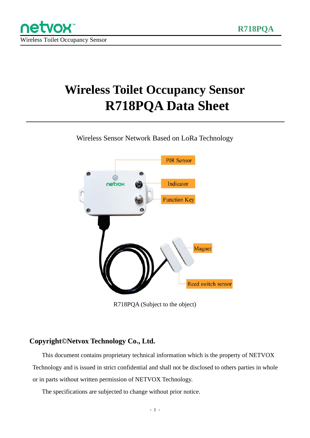# **Wireless Toilet Occupancy Sensor R718PQA Data Sheet**

Wireless Sensor Network Based on LoRa Technology



R718PQA (Subject to the object)

#### **Copyright©Netvox Technology Co., Ltd.**

This document contains proprietary technical information which is the property of NETVOX Technology and is issued in strict confidential and shall not be disclosed to others parties in whole or in parts without written permission of NETVOX Technology.

The specifications are subjected to change without prior notice.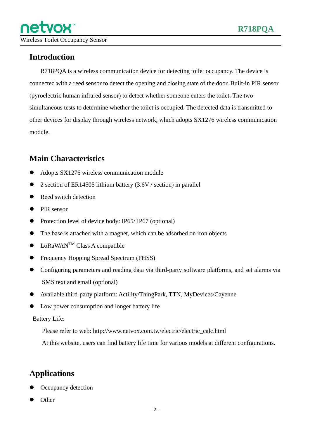#### **Introduction**

R718PQA is a wireless communication device for detecting toilet occupancy. The device is connected with a reed sensor to detect the opening and closing state of the door. Built-in PIR sensor (pyroelectric human infrared sensor) to detect whether someone enters the toilet. The two simultaneous tests to determine whether the toilet is occupied. The detected data is transmitted to other devices for display through wireless network, which adopts SX1276 wireless communication module.

#### **Main Characteristics**

- Adopts SX1276 wireless communication module
- 2 section of ER14505 lithium battery (3.6V / section) in parallel
- Reed switch detection
- **PIR** sensor
- Protection level of device body: IP65/ IP67 (optional)
- The base is attached with a magnet, which can be adsorbed on iron objects
- $\bullet$  LoRaWAN<sup>TM</sup> Class A compatible
- Frequency Hopping Spread Spectrum (FHSS)
- Configuring parameters and reading data via third-party software platforms, and set alarms via SMS text and email (optional)
- Available third-party platform: Actility/ThingPark, TTN, MyDevices/Cayenne
- Low power consumption and longer battery life

Battery Life:

Please refer to web: http://www.netvox.com.tw/electric/electric\_calc.html

At this website, users can find battery life time for various models at different configurations.

#### **Applications**

- Occupancy detection
- **Other**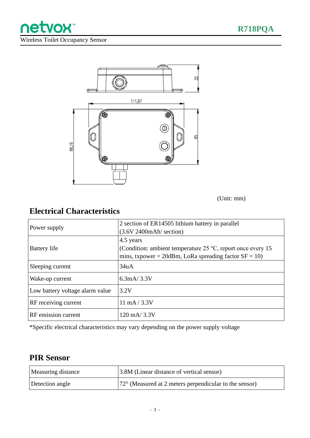

Wireless Toilet Occupancy Sensor

netvox<sup>®</sup>



(Unit: mm)

#### **Electrical Characteristics**

| Power supply                    | 2 section of ER14505 lithium battery in parallel                     |
|---------------------------------|----------------------------------------------------------------------|
|                                 | (3.6V 2400mAh/section)                                               |
| <b>Battery</b> life             | 4.5 years                                                            |
|                                 | (Condition: ambient temperature $25^{\circ}$ C, report once every 15 |
|                                 | mins, txpower = $20$ dBm, LoRa spreading factor SF = 10)             |
| Sleeping current                | 34uA                                                                 |
| Wake-up current                 | $6.3 \text{mA} / 3.3 \text{V}$                                       |
| Low battery voltage alarm value | 3.2V                                                                 |
| RF receiving current            | $11 \text{ mA} / 3.3 \text{V}$                                       |
| RF emission current             | 120 mA/3.3V                                                          |

\*Specific electrical characteristics may vary depending on the power supply voltage

#### **PIR Sensor**

| Measuring distance | 3.8M (Linear distance of vertical sensor)                        |
|--------------------|------------------------------------------------------------------|
| Detection angle    | $ 72^{\circ}$ (Measured at 2 meters perpendicular to the sensor) |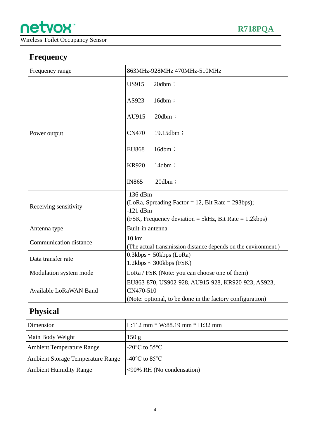Wireless Toilet Occupancy Sensor

### **Frequency**

| Frequency range               | 863MHz-928MHz 470MHz-510MHz                                                                                                               |
|-------------------------------|-------------------------------------------------------------------------------------------------------------------------------------------|
| Power output                  | $20dbm$ ;<br><b>US915</b>                                                                                                                 |
|                               | AS923<br>16dbm;                                                                                                                           |
|                               | AU915<br>$20dbm$ ;                                                                                                                        |
|                               | <b>CN470</b><br>19.15dbm;                                                                                                                 |
|                               | <b>EU868</b><br>16dbm;                                                                                                                    |
|                               | <b>KR920</b><br>$14dbm$ ;                                                                                                                 |
|                               | $20dbm$ ;<br><b>IN865</b>                                                                                                                 |
| Receiving sensitivity         | $-136$ dBm<br>(LoRa, Spreading Factor = 12, Bit Rate = 293bps);<br>$-121$ dBm<br>(FSK, Frequency deviation = 5kHz, Bit Rate = $1.2kbps$ ) |
| Antenna type                  | Built-in antenna                                                                                                                          |
| <b>Communication distance</b> | $10 \text{ km}$<br>(The actual transmission distance depends on the environment.)                                                         |
| Data transfer rate            | $0.3kbps \sim 50kbps$ (LoRa)<br>$1.2kbps \sim 300kbps$ (FSK)                                                                              |
| Modulation system mode        | LoRa / FSK (Note: you can choose one of them)                                                                                             |
| <b>Available LoRaWAN Band</b> | EU863-870, US902-928, AU915-928, KR920-923, AS923,<br>CN470-510                                                                           |
|                               | (Note: optional, to be done in the factory configuration)                                                                                 |

## **Physical**

| Dimension                         | $L:112$ mm $*$ W:88.19 mm $*$ H:32 mm               |
|-----------------------------------|-----------------------------------------------------|
| Main Body Weight                  | 150 g                                               |
| <b>Ambient Temperature Range</b>  | -20 $\mathrm{^{\circ}C}$ to 55 $\mathrm{^{\circ}C}$ |
| Ambient Storage Temperature Range | -40 $\rm{^{\circ}C}$ to 85 $\rm{^{\circ}C}$         |
| <b>Ambient Humidity Range</b>     | <90% RH (No condensation)                           |